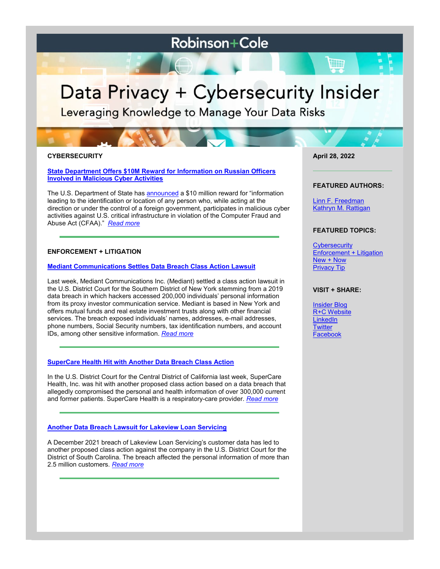# **Robinson+Cole**

# Data Privacy + Cybersecurity Insider

Leveraging Knowledge to Manage Your Data Risks

# **CYBERSECURITY**

**[State Department Offers \\$10M Reward for Information on Russian Officers](https://www.dataprivacyandsecurityinsider.com/2022/04/state-department-offers-10m-reward-for-information-on-russian-officers-involved-in-malicious-cyber-activities/)  [Involved in Malicious Cyber Activities](https://www.dataprivacyandsecurityinsider.com/2022/04/state-department-offers-10m-reward-for-information-on-russian-officers-involved-in-malicious-cyber-activities/)**

The U.S. Department of State has [announced](https://www.state.gov/rewards-for-justice-reward-offer-for-information-on-russian-military-intelligence-officers-conducting-malicious-activity-against-u-s-critical-infrastructure/) a \$10 million reward for "information leading to the identification or location of any person who, while acting at the direction or under the control of a foreign government, participates in malicious cyber activities against U.S. critical infrastructure in violation of the Computer Fraud and Abuse Act (CFAA)." *[Read more](https://www.dataprivacyandsecurityinsider.com/2022/04/state-department-offers-10m-reward-for-information-on-russian-officers-involved-in-malicious-cyber-activities/)*

# **ENFORCEMENT + LITIGATION**

#### **[Mediant Communications Settles Data Breach Class Action Lawsuit](https://www.dataprivacyandsecurityinsider.com/2022/04/mediant-communications-settles-data-breach-class-action-lawsuit/)**

Last week, Mediant Communications Inc. (Mediant) settled a class action lawsuit in the U.S. District Court for the Southern District of New York stemming from a 2019 data breach in which hackers accessed 200,000 individuals' personal information from its proxy investor communication service. Mediant is based in New York and offers mutual funds and real estate investment trusts along with other financial services. The breach exposed individuals' names, addresses, e-mail addresses, phone numbers, Social Security numbers, tax identification numbers, and account IDs, among other sensitive information. *[Read more](https://www.dataprivacyandsecurityinsider.com/2022/04/mediant-communications-settles-data-breach-class-action-lawsuit/)*

#### **[SuperCare Health Hit with Another Data Breach Class Action](https://www.dataprivacyandsecurityinsider.com/2022/04/supercare-health-hit-with-another-data-breach-class-action/)**

In the U.S. District Court for the Central District of California last week, SuperCare Health, Inc. was hit with another proposed class action based on a data breach that allegedly compromised the personal and health information of over 300,000 current and former patients. SuperCare Health is a respiratory-care provider. *[Read more](https://www.dataprivacyandsecurityinsider.com/2022/04/supercare-health-hit-with-another-data-breach-class-action/)*

#### **[Another Data Breach Lawsuit for Lakeview Loan Servicing](https://www.dataprivacyandsecurityinsider.com/2022/04/another-data-breach-lawsuit-for-lakeview-loan-servicing/)**

A December 2021 breach of Lakeview Loan Servicing's customer data has led to another proposed class action against the company in the U.S. District Court for the District of South Carolina. The breach affected the personal information of more than 2.5 million customers. *[Read more](https://www.dataprivacyandsecurityinsider.com/2022/04/another-data-breach-lawsuit-for-lakeview-loan-servicing/)*

**April 28, 2022**

#### **FEATURED AUTHORS:**

[Linn F. Freedman](https://www.rc.com/people/LinnFFreedman.cfm) [Kathryn M. Rattigan](https://www.rc.com/people/kathrynmrattigan.cfm)

# **FEATURED TOPICS:**

**[Cybersecurity](https://www.dataprivacyandsecurityinsider.com/category/cybersecurity/)** [Enforcement + Litigation](https://www.dataprivacyandsecurityinsider.com/category/enforcement-litigation/) [New + Now](https://www.dataprivacyandsecurityinsider.com/category/new-now/) [Privacy Tip](https://www.dataprivacyandsecurityinsider.com/category/privacy-tips/)

#### **VISIT + SHARE:**

[Insider Blog](https://www.dataprivacyandsecurityinsider.com/) [R+C Website](http://www.rc.com/) **[LinkedIn](https://www.linkedin.com/company/robinson-&-cole-llp) [Twitter](https://twitter.com/RobinsonCole)** [Facebook](https://www.facebook.com/RobinsonCole-144331422248207/)